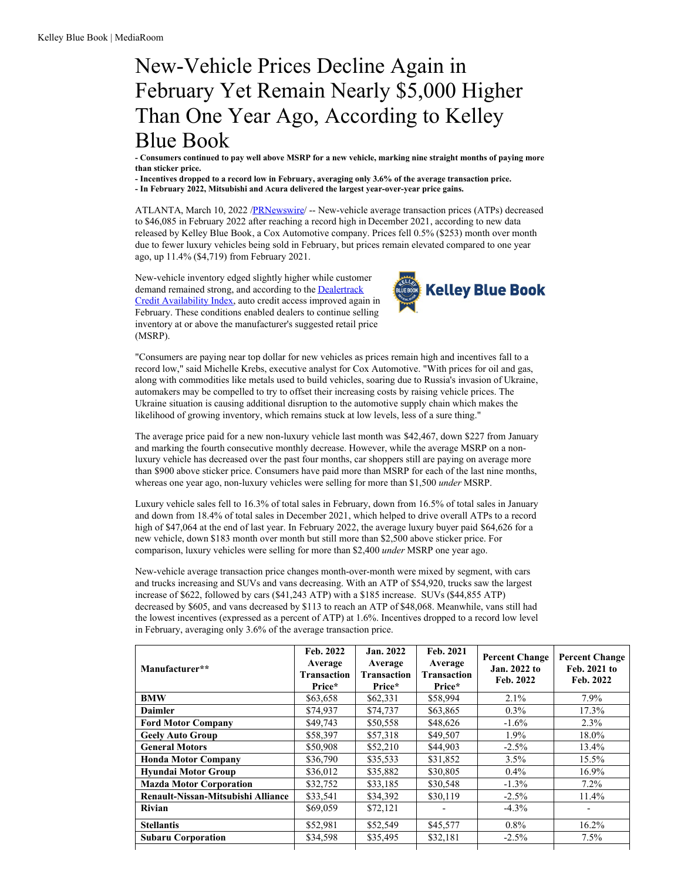## New-Vehicle Prices Decline Again in February Yet Remain Nearly \$5,000 Higher Than One Year Ago, According to Kelley Blue Book

- Consumers continued to pay well above MSRP for a new vehicle, marking nine straight months of paying more **than sticker price.**

**- Incentives dropped to a record low in February, averaging only 3.6% of the average transaction price. - In February 2022, Mitsubishi and Acura delivered the largest year-over-year price gains.**

ATLANTA, March 10, 2022 [/PRNewswire](http://www.prnewswire.com/)/ -- New-vehicle average transaction prices (ATPs) decreased to \$46,085 in February 2022 after reaching a record high in December 2021, according to new data released by Kelley Blue Book, a Cox Automotive company. Prices fell 0.5% (\$253) month over month due to fewer luxury vehicles being sold in February, but prices remain elevated compared to one year ago, up 11.4% (\$4,719) from February 2021.

New-vehicle inventory edged slightly higher while customer demand remained strong, and according to the **[Dealertrack](https://c212.net/c/link/?t=0&l=en&o=3469729-1&h=502765822&u=https%3A%2F%2Fwww.coxautoinc.com%2Fmarket-insights%2Ffeb-2022-dealertrack-cai%2F&a=Dealertrack+Credit+Availability+Index)** Credit Availability Index, auto credit access improved again in February. These conditions enabled dealers to continue selling inventory at or above the manufacturer's suggested retail price (MSRP).



"Consumers are paying near top dollar for new vehicles as prices remain high and incentives fall to a record low," said Michelle Krebs, executive analyst for Cox Automotive. "With prices for oil and gas, along with commodities like metals used to build vehicles, soaring due to Russia's invasion of Ukraine, automakers may be compelled to try to offset their increasing costs by raising vehicle prices. The Ukraine situation is causing additional disruption to the automotive supply chain which makes the likelihood of growing inventory, which remains stuck at low levels, less of a sure thing."

The average price paid for a new non-luxury vehicle last month was \$42,467, down \$227 from January and marking the fourth consecutive monthly decrease. However, while the average MSRP on a nonluxury vehicle has decreased over the past four months, car shoppers still are paying on average more than \$900 above sticker price. Consumers have paid more than MSRP for each of the last nine months, whereas one year ago, non-luxury vehicles were selling for more than \$1,500 *under* MSRP.

Luxury vehicle sales fell to 16.3% of total sales in February, down from 16.5% of total sales in January and down from 18.4% of total sales in December 2021, which helped to drive overall ATPs to a record high of \$47,064 at the end of last year. In February 2022, the average luxury buyer paid \$64,626 for a new vehicle, down \$183 month over month but still more than \$2,500 above sticker price. For comparison, luxury vehicles were selling for more than \$2,400 *under* MSRP one year ago.

New-vehicle average transaction price changes month-over-month were mixed by segment, with cars and trucks increasing and SUVs and vans decreasing. With an ATP of \$54,920, trucks saw the largest increase of \$622, followed by cars (\$41,243 ATP) with a \$185 increase. SUVs (\$44,855 ATP) decreased by \$605, and vans decreased by \$113 to reach an ATP of \$48,068. Meanwhile, vans still had the lowest incentives (expressed as a percent of ATP) at 1.6%. Incentives dropped to a record low level in February, averaging only 3.6% of the average transaction price.

| Manufacturer**                     | Feb. 2022<br>Average<br>Transaction<br>Price* | Jan. 2022<br>Average<br>Transaction<br>Price* | Feb. 2021<br>Average<br><b>Transaction</b><br>Price* | <b>Percent Change</b><br>Jan. 2022 to<br>Feb. 2022 | <b>Percent Change</b><br>Feb. 2021 to<br>Feb. 2022 |
|------------------------------------|-----------------------------------------------|-----------------------------------------------|------------------------------------------------------|----------------------------------------------------|----------------------------------------------------|
| <b>BMW</b>                         | \$63,658                                      | \$62,331                                      | \$58,994                                             | $2.1\%$                                            | $7.9\%$                                            |
| <b>Daimler</b>                     | \$74,937                                      | \$74,737                                      | \$63,865                                             | $0.3\%$                                            | 17.3%                                              |
| <b>Ford Motor Company</b>          | \$49,743                                      | \$50,558                                      | \$48,626                                             | $-1.6\%$                                           | $2.3\%$                                            |
| <b>Geely Auto Group</b>            | \$58,397                                      | \$57,318                                      | \$49,507                                             | $1.9\%$                                            | 18.0%                                              |
| <b>General Motors</b>              | \$50,908                                      | \$52,210                                      | \$44,903                                             | $-2.5\%$                                           | $13.4\%$                                           |
| <b>Honda Motor Company</b>         | \$36,790                                      | \$35,533                                      | \$31,852                                             | 3.5%                                               | $15.5\%$                                           |
| <b>Hyundai Motor Group</b>         | \$36,012                                      | \$35,882                                      | \$30,805                                             | $0.4\%$                                            | $16.9\%$                                           |
| <b>Mazda Motor Corporation</b>     | \$32,752                                      | \$33,185                                      | \$30,548                                             | $-1.3\%$                                           | $7.2\%$                                            |
| Renault-Nissan-Mitsubishi Alliance | \$33,541                                      | \$34,392                                      | \$30,119                                             | $-2.5\%$                                           | $11.4\%$                                           |
| Rivian                             | \$69,059                                      | \$72,121                                      |                                                      | $-4.3\%$                                           |                                                    |
| <b>Stellantis</b>                  | \$52,981                                      | \$52,549                                      | \$45,577                                             | $0.8\%$                                            | $16.2\%$                                           |
| <b>Subaru Corporation</b>          | \$34,598                                      | \$35,495                                      | \$32,181                                             | $-2.5\%$                                           | $7.5\%$                                            |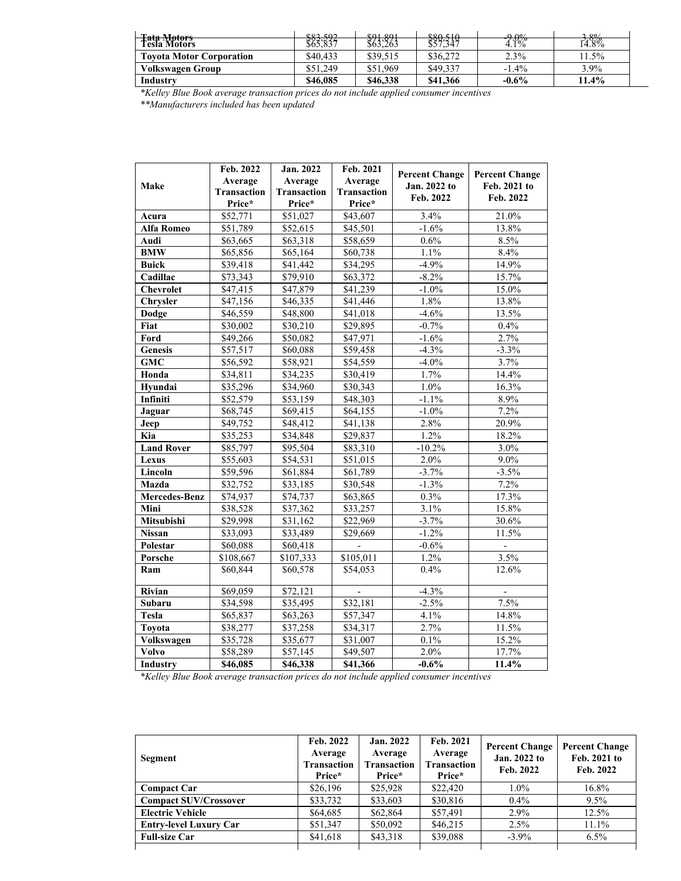| <b>Tata Motors</b>              | 8250              | \$01.901 | 880510   | $\Omega$ $\Omega$ <sup>o</sup> / | 2.90/    |
|---------------------------------|-------------------|----------|----------|----------------------------------|----------|
| <b>Tesla Motors</b>             | ******<br>\$65.85 | \$63,263 | \$57,347 | $4.1\%$                          | $14.8\%$ |
| <b>Tovota Motor Corporation</b> | \$40,433          | \$39.515 | \$36,272 | 2.3%                             | $1.5\%$  |
| <b>Volkswagen Group</b>         | \$51.249          | \$51.969 | \$49,337 | $-1.4\%$                         | 3.9%     |
| Industry                        | \$46,085          | \$46,338 | \$41,366 | $-0.6%$                          | 11.4%    |

*\*Kelley Blue Book average transaction prices do not include applied consumer incentives \*\*Manufacturers included has been updated*

|                      | Feb. 2022            | Jan. 2022            | Feb. 2021          |                       |                       |
|----------------------|----------------------|----------------------|--------------------|-----------------------|-----------------------|
| Make                 | Average              | Average              | Average            | <b>Percent Change</b> | <b>Percent Change</b> |
|                      | Transaction          | Transaction          | <b>Transaction</b> | Jan. 2022 to          | Feb. 2021 to          |
|                      | Price*               | Price*               | Price*             | Feb. 2022             | Feb. 2022             |
| Acura                | \$52,771             | \$51,027             | \$43,607           | 3.4%                  | 21.0%                 |
| Alfa Romeo           | \$51,789             | \$52,615             | \$45,501           | $-1.6%$               | 13.8%                 |
| Audi                 | \$63,665             | \$63,318             | \$58,659           | 0.6%                  | 8.5%                  |
| <b>BMW</b>           | \$65,856             | \$65,164             | \$60,738           | 1.1%                  | 8.4%                  |
| <b>Buick</b>         | \$39,418             | \$41,442             | \$34,295           | $-4.9%$               | 14.9%                 |
| Cadillac             | \$73,343             | \$79,910             | \$63,372           | $-8.2\%$              | 15.7%                 |
| <b>Chevrolet</b>     | \$47,415             | \$47,879             | \$41,239           | $-1.0%$               | 15.0%                 |
| Chrysler             | \$47,156             | \$46,335             | \$41,446           | 1.8%                  | 13.8%                 |
| Dodge                | \$46,559             | \$48,800             | \$41,018           | $-4.6%$               | 13.5%                 |
| Fiat                 | \$30,002             | \$30,210             | \$29,895           | $-0.7%$               | 0.4%                  |
| Ford                 | \$49,266             | \$50,082             | \$47,971           | $-1.6%$               | 2.7%                  |
| <b>Genesis</b>       | \$57,517             | \$60,088             | \$59,458           | $-4.3%$               | $-3.3%$               |
| <b>GMC</b>           | \$56,592             | \$58,921             | \$54,559           | $-4.0%$               | 3.7%                  |
| Honda                | \$34,811             | \$34,235             | \$30,419           | 1.7%                  | 14.4%                 |
| Hvundai              | $\overline{$}35,296$ | \$34,960             | \$30,343           | $1.0\%$               | 16.3%                 |
| Infiniti             | \$52,579             | \$53,159             | \$48,303           | $-1.1\%$              | 8.9%                  |
| Jaguar               | \$68,745             | \$69,415             | \$64,155           | $-1.0\%$              | 7.2%                  |
| Jeep                 | \$49,752             | \$48,412             | \$41,138           | 2.8%                  | 20.9%                 |
| Kia                  | \$35,253             | \$34,848             | \$29,837           | 1.2%                  | 18.2%                 |
| <b>Land Rover</b>    | \$85,797             | \$95,504             | \$83,310           | $-10.2%$              | 3.0%                  |
| Lexus                | \$55,603             | \$54,531             | \$51,015           | 2.0%                  | $9.0\%$               |
| Lincoln              | \$59,596             | \$61,884             | \$61,789           | $-3.7%$               | $-3.5%$               |
| Mazda                | \$32,752             | $\overline{$}33,185$ | \$30,548           | $-1.3%$               | 7.2%                  |
| <b>Mercedes-Benz</b> | \$74,937             | \$74,737             | \$63,865           | $0.3\%$               | 17.3%                 |
| Mini                 | \$38,528             | \$37,362             | \$33,257           | 3.1%                  | 15.8%                 |
| Mitsubishi           | \$29,998             | \$31,162             | \$22,969           | $-3.7%$               | 30.6%                 |
| <b>Nissan</b>        | \$33,093             | \$33,489             | \$29,669           | $-1.2%$               | 11.5%                 |
| Polestar             | \$60,088             | \$60,418             |                    | $-0.6%$               |                       |
| Porsche              | \$108,667            | \$107,333            | \$105,011          | 1.2%                  | 3.5%                  |
| Ram                  | \$60,844             | \$60,578             | \$54,053           | 0.4%                  | 12.6%                 |
| <b>Rivian</b>        | \$69,059             | \$72,121             |                    | $-4.3%$               |                       |
| Subaru               | \$34,598             | \$35,495             | \$32,181           | $-2.5%$               | 7.5%                  |
| <b>Tesla</b>         | \$65,837             | \$63,263             | \$57,347           | 4.1%                  | 14.8%                 |
| Toyota               | \$38,277             | \$37,258             | \$34,317           | 2.7%                  | 11.5%                 |
| Volkswagen           | \$35,728             | \$35,677             | \$31,007           | 0.1%                  | 15.2%                 |
| <b>Volvo</b>         | \$58,289             | \$57,145             | \$49,507           | 2.0%                  | 17.7%                 |
| Industry             | \$46,085             | \$46,338             | \$41,366           | $-0.6%$               | 11.4%                 |

*\*Kelley Blue Book average transaction prices do not include applied consumer incentives*

| Segment                       | Feb. 2022<br>Average<br><b>Transaction</b><br>Price* | <b>Jan. 2022</b><br>Average<br>Transaction<br>Price* | Feb. 2021<br>Average<br>Transaction<br>Price* | <b>Percent Change</b><br>Jan. 2022 to<br>Feb. 2022 | <b>Percent Change</b><br>Feb. 2021 to<br>Feb. 2022 |
|-------------------------------|------------------------------------------------------|------------------------------------------------------|-----------------------------------------------|----------------------------------------------------|----------------------------------------------------|
| <b>Compact Car</b>            | \$26,196                                             | \$25,928                                             | \$22,420                                      | $1.0\%$                                            | 16.8%                                              |
| <b>Compact SUV/Crossover</b>  | \$33,732                                             | \$33,603                                             | \$30,816                                      | $0.4\%$                                            | $9.5\%$                                            |
| <b>Electric Vehicle</b>       | \$64,685                                             | \$62,864                                             | \$57,491                                      | $2.9\%$                                            | $12.5\%$                                           |
| <b>Entry-level Luxury Car</b> | \$51,347                                             | \$50,092                                             | \$46,215                                      | $2.5\%$                                            | $11.1\%$                                           |
| <b>Full-size Car</b>          | \$41,618                                             | \$43,318                                             | \$39,088                                      | $-3.9\%$                                           | $6.5\%$                                            |
|                               |                                                      |                                                      |                                               |                                                    |                                                    |